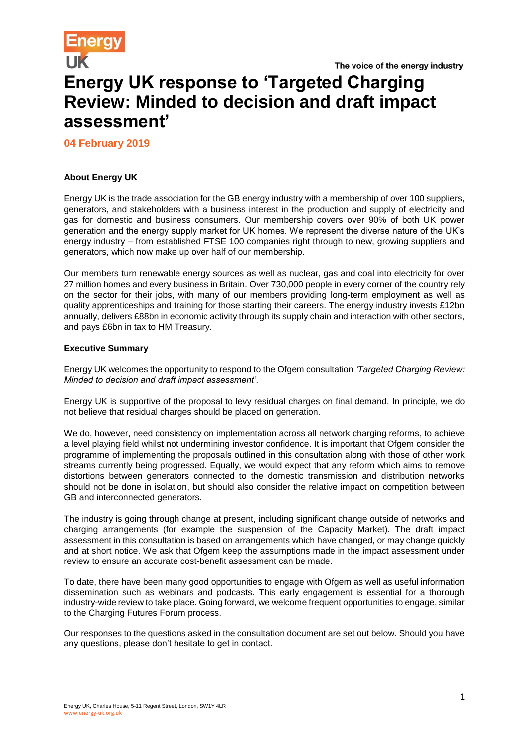# **Energy UK response to 'Targeted Charging Review: Minded to decision and draft impact assessment'**

**04 February 2019**

# **About Energy UK**

Energy UK is the trade association for the GB energy industry with a membership of over 100 suppliers, generators, and stakeholders with a business interest in the production and supply of electricity and gas for domestic and business consumers. Our membership covers over 90% of both UK power generation and the energy supply market for UK homes. We represent the diverse nature of the UK's energy industry – from established FTSE 100 companies right through to new, growing suppliers and generators, which now make up over half of our membership.

Our members turn renewable energy sources as well as nuclear, gas and coal into electricity for over 27 million homes and every business in Britain. Over 730,000 people in every corner of the country rely on the sector for their jobs, with many of our members providing long-term employment as well as quality apprenticeships and training for those starting their careers. The energy industry invests £12bn annually, delivers £88bn in economic activity through its supply chain and interaction with other sectors, and pays £6bn in tax to HM Treasury.

## **Executive Summary**

Energy UK welcomes the opportunity to respond to the Ofgem consultation *'Targeted Charging Review: Minded to decision and draft impact assessment'*.

Energy UK is supportive of the proposal to levy residual charges on final demand. In principle, we do not believe that residual charges should be placed on generation.

We do, however, need consistency on implementation across all network charging reforms, to achieve a level playing field whilst not undermining investor confidence. It is important that Ofgem consider the programme of implementing the proposals outlined in this consultation along with those of other work streams currently being progressed. Equally, we would expect that any reform which aims to remove distortions between generators connected to the domestic transmission and distribution networks should not be done in isolation, but should also consider the relative impact on competition between GB and interconnected generators.

The industry is going through change at present, including significant change outside of networks and charging arrangements (for example the suspension of the Capacity Market). The draft impact assessment in this consultation is based on arrangements which have changed, or may change quickly and at short notice. We ask that Ofgem keep the assumptions made in the impact assessment under review to ensure an accurate cost-benefit assessment can be made.

To date, there have been many good opportunities to engage with Ofgem as well as useful information dissemination such as webinars and podcasts. This early engagement is essential for a thorough industry-wide review to take place. Going forward, we welcome frequent opportunities to engage, similar to the Charging Futures Forum process.

Our responses to the questions asked in the consultation document are set out below. Should you have any questions, please don't hesitate to get in contact.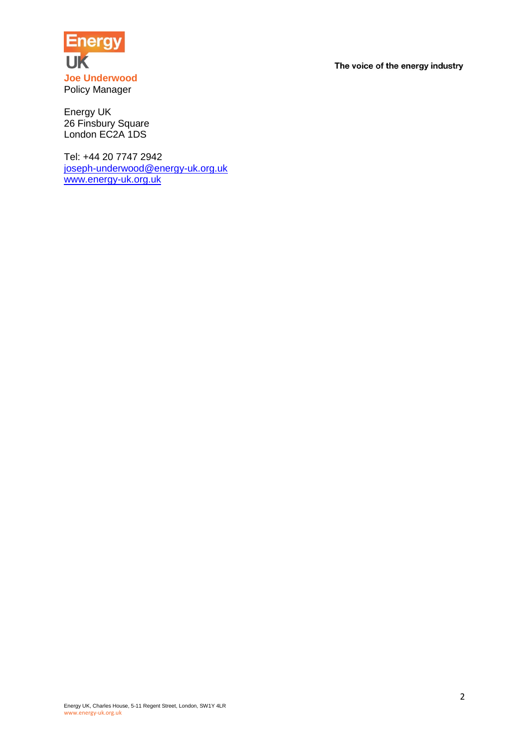

Energy UK 26 Finsbury Square London EC2A 1DS

Tel: +44 20 7747 2942 [joseph-underwood@energy-uk.org.uk](mailto:joseph-underwood@energy-uk.org.uk) [www.energy-uk.org.uk](http://www.energy-uk.org.uk/)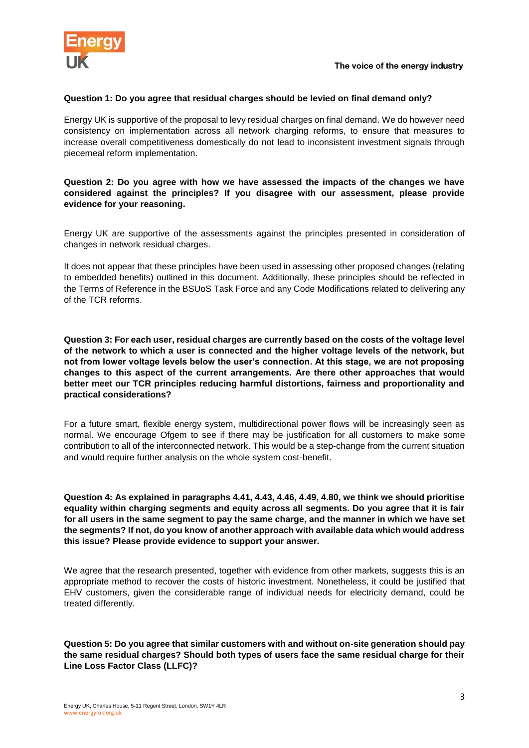

#### **Question 1: Do you agree that residual charges should be levied on final demand only?**

Energy UK is supportive of the proposal to levy residual charges on final demand. We do however need consistency on implementation across all network charging reforms, to ensure that measures to increase overall competitiveness domestically do not lead to inconsistent investment signals through piecemeal reform implementation.

## **Question 2: Do you agree with how we have assessed the impacts of the changes we have considered against the principles? If you disagree with our assessment, please provide evidence for your reasoning.**

Energy UK are supportive of the assessments against the principles presented in consideration of changes in network residual charges.

It does not appear that these principles have been used in assessing other proposed changes (relating to embedded benefits) outlined in this document. Additionally, these principles should be reflected in the Terms of Reference in the BSUoS Task Force and any Code Modifications related to delivering any of the TCR reforms.

**Question 3: For each user, residual charges are currently based on the costs of the voltage level of the network to which a user is connected and the higher voltage levels of the network, but not from lower voltage levels below the user's connection. At this stage, we are not proposing changes to this aspect of the current arrangements. Are there other approaches that would better meet our TCR principles reducing harmful distortions, fairness and proportionality and practical considerations?**

For a future smart, flexible energy system, multidirectional power flows will be increasingly seen as normal. We encourage Ofgem to see if there may be justification for all customers to make some contribution to all of the interconnected network. This would be a step-change from the current situation and would require further analysis on the whole system cost-benefit.

**Question 4: As explained in paragraphs 4.41, 4.43, 4.46, 4.49, 4.80, we think we should prioritise equality within charging segments and equity across all segments. Do you agree that it is fair for all users in the same segment to pay the same charge, and the manner in which we have set the segments? If not, do you know of another approach with available data which would address this issue? Please provide evidence to support your answer.**

We agree that the research presented, together with evidence from other markets, suggests this is an appropriate method to recover the costs of historic investment. Nonetheless, it could be justified that EHV customers, given the considerable range of individual needs for electricity demand, could be treated differently.

**Question 5: Do you agree that similar customers with and without on-site generation should pay the same residual charges? Should both types of users face the same residual charge for their Line Loss Factor Class (LLFC)?**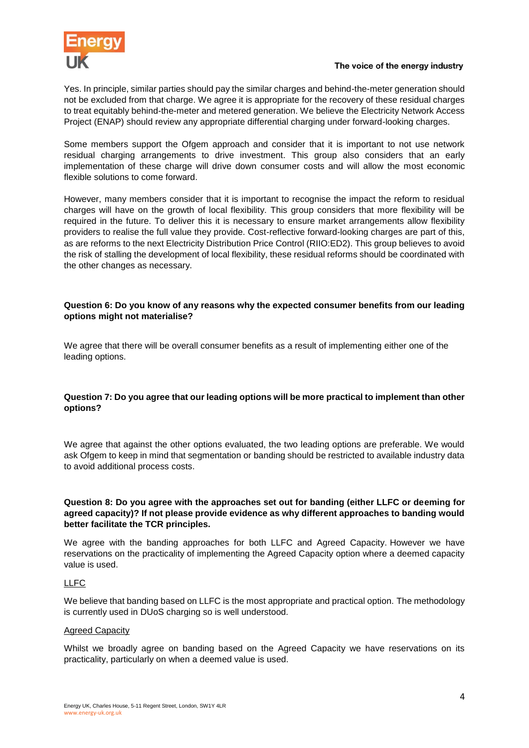

Yes. In principle, similar parties should pay the similar charges and behind-the-meter generation should not be excluded from that charge. We agree it is appropriate for the recovery of these residual charges to treat equitably behind-the-meter and metered generation. We believe the Electricity Network Access Project (ENAP) should review any appropriate differential charging under forward-looking charges.

Some members support the Ofgem approach and consider that it is important to not use network residual charging arrangements to drive investment. This group also considers that an early implementation of these charge will drive down consumer costs and will allow the most economic flexible solutions to come forward.

However, many members consider that it is important to recognise the impact the reform to residual charges will have on the growth of local flexibility. This group considers that more flexibility will be required in the future. To deliver this it is necessary to ensure market arrangements allow flexibility providers to realise the full value they provide. Cost-reflective forward-looking charges are part of this, as are reforms to the next Electricity Distribution Price Control (RIIO:ED2). This group believes to avoid the risk of stalling the development of local flexibility, these residual reforms should be coordinated with the other changes as necessary.

# **Question 6: Do you know of any reasons why the expected consumer benefits from our leading options might not materialise?**

We agree that there will be overall consumer benefits as a result of implementing either one of the leading options.

# **Question 7: Do you agree that our leading options will be more practical to implement than other options?**

We agree that against the other options evaluated, the two leading options are preferable. We would ask Ofgem to keep in mind that segmentation or banding should be restricted to available industry data to avoid additional process costs.

## **Question 8: Do you agree with the approaches set out for banding (either LLFC or deeming for agreed capacity)? If not please provide evidence as why different approaches to banding would better facilitate the TCR principles.**

We agree with the banding approaches for both LLFC and Agreed Capacity. However we have reservations on the practicality of implementing the Agreed Capacity option where a deemed capacity value is used.

## LLFC

We believe that banding based on LLFC is the most appropriate and practical option. The methodology is currently used in DUoS charging so is well understood.

## Agreed Capacity

Whilst we broadly agree on banding based on the Agreed Capacity we have reservations on its practicality, particularly on when a deemed value is used.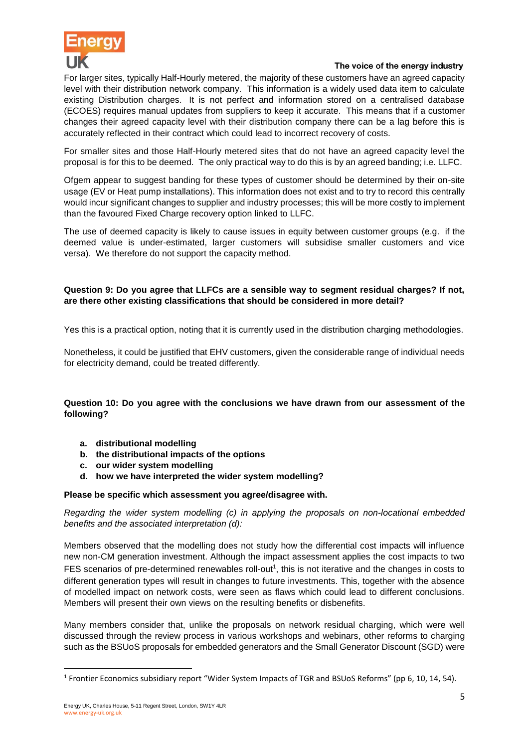

For larger sites, typically Half-Hourly metered, the majority of these customers have an agreed capacity level with their distribution network company. This information is a widely used data item to calculate existing Distribution charges. It is not perfect and information stored on a centralised database (ECOES) requires manual updates from suppliers to keep it accurate. This means that if a customer changes their agreed capacity level with their distribution company there can be a lag before this is accurately reflected in their contract which could lead to incorrect recovery of costs.

For smaller sites and those Half-Hourly metered sites that do not have an agreed capacity level the proposal is for this to be deemed. The only practical way to do this is by an agreed banding; i.e. LLFC.

Ofgem appear to suggest banding for these types of customer should be determined by their on-site usage (EV or Heat pump installations). This information does not exist and to try to record this centrally would incur significant changes to supplier and industry processes; this will be more costly to implement than the favoured Fixed Charge recovery option linked to LLFC.

The use of deemed capacity is likely to cause issues in equity between customer groups (e.g. if the deemed value is under-estimated, larger customers will subsidise smaller customers and vice versa). We therefore do not support the capacity method.

# **Question 9: Do you agree that LLFCs are a sensible way to segment residual charges? If not, are there other existing classifications that should be considered in more detail?**

Yes this is a practical option, noting that it is currently used in the distribution charging methodologies.

Nonetheless, it could be justified that EHV customers, given the considerable range of individual needs for electricity demand, could be treated differently.

# **Question 10: Do you agree with the conclusions we have drawn from our assessment of the following?**

- **a. distributional modelling**
- **b. the distributional impacts of the options**
- **c. our wider system modelling**
- **d. how we have interpreted the wider system modelling?**

## **Please be specific which assessment you agree/disagree with.**

*Regarding the wider system modelling (c) in applying the proposals on non-locational embedded benefits and the associated interpretation (d):*

Members observed that the modelling does not study how the differential cost impacts will influence new non-CM generation investment. Although the impact assessment applies the cost impacts to two FES scenarios of pre-determined renewables roll-out<sup>1</sup>, this is not iterative and the changes in costs to different generation types will result in changes to future investments. This, together with the absence of modelled impact on network costs, were seen as flaws which could lead to different conclusions. Members will present their own views on the resulting benefits or disbenefits.

Many members consider that, unlike the proposals on network residual charging, which were well discussed through the review process in various workshops and webinars, other reforms to charging such as the BSUoS proposals for embedded generators and the Small Generator Discount (SGD) were

**.** 

<sup>&</sup>lt;sup>1</sup> Frontier Economics subsidiary report "Wider System Impacts of TGR and BSUoS Reforms" (pp 6, 10, 14, 54).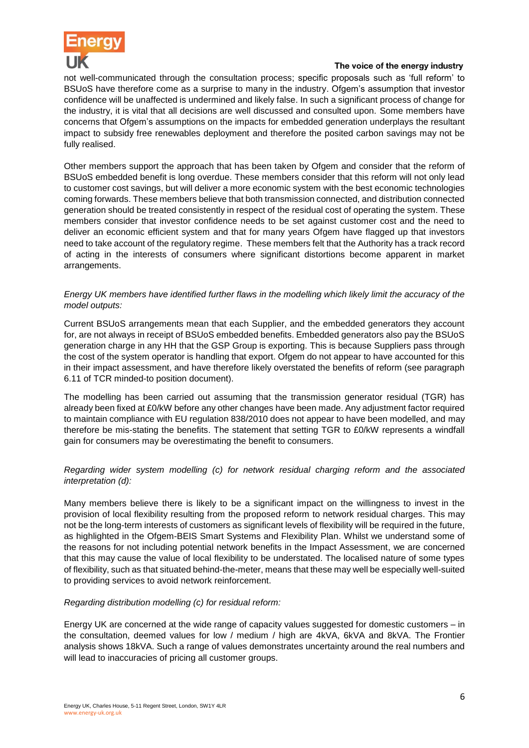

not well-communicated through the consultation process; specific proposals such as 'full reform' to BSUoS have therefore come as a surprise to many in the industry. Ofgem's assumption that investor confidence will be unaffected is undermined and likely false. In such a significant process of change for the industry, it is vital that all decisions are well discussed and consulted upon. Some members have concerns that Ofgem's assumptions on the impacts for embedded generation underplays the resultant impact to subsidy free renewables deployment and therefore the posited carbon savings may not be fully realised.

Other members support the approach that has been taken by Ofgem and consider that the reform of BSUoS embedded benefit is long overdue. These members consider that this reform will not only lead to customer cost savings, but will deliver a more economic system with the best economic technologies coming forwards. These members believe that both transmission connected, and distribution connected generation should be treated consistently in respect of the residual cost of operating the system. These members consider that investor confidence needs to be set against customer cost and the need to deliver an economic efficient system and that for many years Ofgem have flagged up that investors need to take account of the regulatory regime. These members felt that the Authority has a track record of acting in the interests of consumers where significant distortions become apparent in market arrangements.

# *Energy UK members have identified further flaws in the modelling which likely limit the accuracy of the model outputs:*

Current BSUoS arrangements mean that each Supplier, and the embedded generators they account for, are not always in receipt of BSUoS embedded benefits. Embedded generators also pay the BSUoS generation charge in any HH that the GSP Group is exporting. This is because Suppliers pass through the cost of the system operator is handling that export. Ofgem do not appear to have accounted for this in their impact assessment, and have therefore likely overstated the benefits of reform (see paragraph 6.11 of TCR minded-to position document).

The modelling has been carried out assuming that the transmission generator residual (TGR) has already been fixed at £0/kW before any other changes have been made. Any adjustment factor required to maintain compliance with EU regulation 838/2010 does not appear to have been modelled, and may therefore be mis-stating the benefits. The statement that setting TGR to £0/kW represents a windfall gain for consumers may be overestimating the benefit to consumers.

# *Regarding wider system modelling (c) for network residual charging reform and the associated interpretation (d):*

Many members believe there is likely to be a significant impact on the willingness to invest in the provision of local flexibility resulting from the proposed reform to network residual charges. This may not be the long-term interests of customers as significant levels of flexibility will be required in the future, as highlighted in the Ofgem-BEIS Smart Systems and Flexibility Plan. Whilst we understand some of the reasons for not including potential network benefits in the Impact Assessment, we are concerned that this may cause the value of local flexibility to be understated. The localised nature of some types of flexibility, such as that situated behind-the-meter, means that these may well be especially well-suited to providing services to avoid network reinforcement.

## *Regarding distribution modelling (c) for residual reform:*

Energy UK are concerned at the wide range of capacity values suggested for domestic customers – in the consultation, deemed values for low / medium / high are 4kVA, 6kVA and 8kVA. The Frontier analysis shows 18kVA. Such a range of values demonstrates uncertainty around the real numbers and will lead to inaccuracies of pricing all customer groups.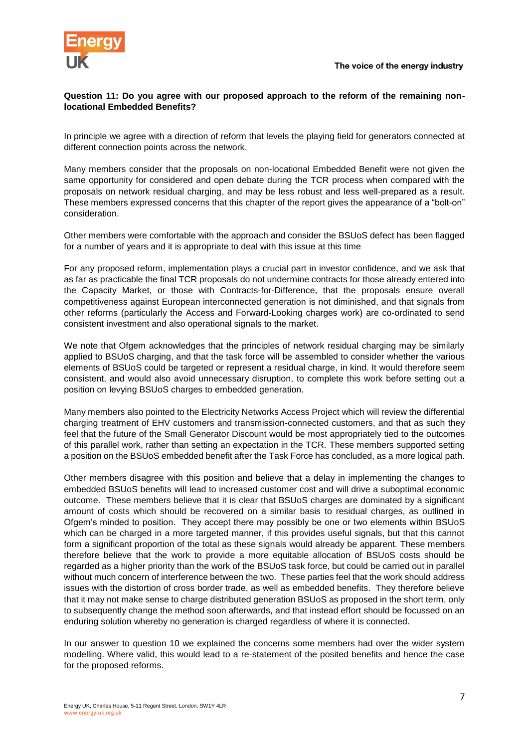

## **Question 11: Do you agree with our proposed approach to the reform of the remaining nonlocational Embedded Benefits?**

In principle we agree with a direction of reform that levels the playing field for generators connected at different connection points across the network.

Many members consider that the proposals on non-locational Embedded Benefit were not given the same opportunity for considered and open debate during the TCR process when compared with the proposals on network residual charging, and may be less robust and less well-prepared as a result. These members expressed concerns that this chapter of the report gives the appearance of a "bolt-on" consideration.

Other members were comfortable with the approach and consider the BSUoS defect has been flagged for a number of years and it is appropriate to deal with this issue at this time

For any proposed reform, implementation plays a crucial part in investor confidence, and we ask that as far as practicable the final TCR proposals do not undermine contracts for those already entered into the Capacity Market, or those with Contracts-for-Difference, that the proposals ensure overall competitiveness against European interconnected generation is not diminished, and that signals from other reforms (particularly the Access and Forward-Looking charges work) are co-ordinated to send consistent investment and also operational signals to the market.

We note that Ofgem acknowledges that the principles of network residual charging may be similarly applied to BSUoS charging, and that the task force will be assembled to consider whether the various elements of BSUoS could be targeted or represent a residual charge, in kind. It would therefore seem consistent, and would also avoid unnecessary disruption, to complete this work before setting out a position on levying BSUoS charges to embedded generation.

Many members also pointed to the Electricity Networks Access Project which will review the differential charging treatment of EHV customers and transmission-connected customers, and that as such they feel that the future of the Small Generator Discount would be most appropriately tied to the outcomes of this parallel work, rather than setting an expectation in the TCR. These members supported setting a position on the BSUoS embedded benefit after the Task Force has concluded, as a more logical path.

Other members disagree with this position and believe that a delay in implementing the changes to embedded BSUoS benefits will lead to increased customer cost and will drive a suboptimal economic outcome. These members believe that it is clear that BSUoS charges are dominated by a significant amount of costs which should be recovered on a similar basis to residual charges, as outlined in Ofgem's minded to position. They accept there may possibly be one or two elements within BSUoS which can be charged in a more targeted manner, if this provides useful signals, but that this cannot form a significant proportion of the total as these signals would already be apparent. These members therefore believe that the work to provide a more equitable allocation of BSUoS costs should be regarded as a higher priority than the work of the BSUoS task force, but could be carried out in parallel without much concern of interference between the two. These parties feel that the work should address issues with the distortion of cross border trade, as well as embedded benefits. They therefore believe that it may not make sense to charge distributed generation BSUoS as proposed in the short term, only to subsequently change the method soon afterwards, and that instead effort should be focussed on an enduring solution whereby no generation is charged regardless of where it is connected.

In our answer to question 10 we explained the concerns some members had over the wider system modelling. Where valid, this would lead to a re-statement of the posited benefits and hence the case for the proposed reforms.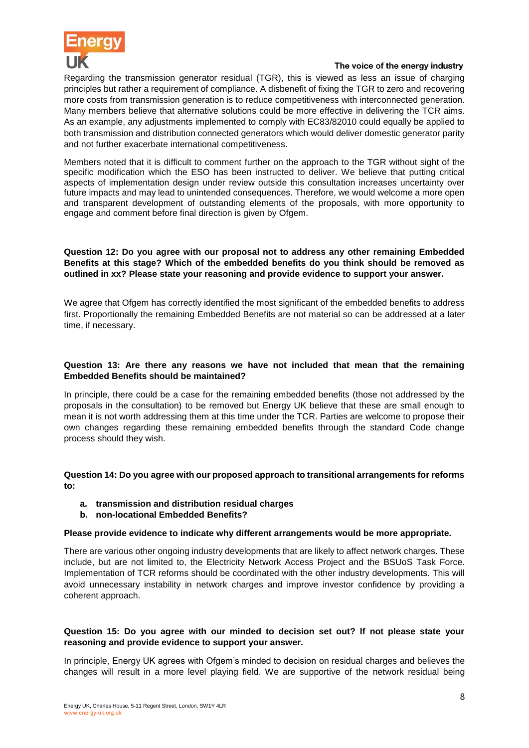

Regarding the transmission generator residual (TGR), this is viewed as less an issue of charging principles but rather a requirement of compliance. A disbenefit of fixing the TGR to zero and recovering more costs from transmission generation is to reduce competitiveness with interconnected generation. Many members believe that alternative solutions could be more effective in delivering the TCR aims. As an example, any adjustments implemented to comply with EC83/82010 could equally be applied to both transmission and distribution connected generators which would deliver domestic generator parity and not further exacerbate international competitiveness.

Members noted that it is difficult to comment further on the approach to the TGR without sight of the specific modification which the ESO has been instructed to deliver. We believe that putting critical aspects of implementation design under review outside this consultation increases uncertainty over future impacts and may lead to unintended consequences. Therefore, we would welcome a more open and transparent development of outstanding elements of the proposals, with more opportunity to engage and comment before final direction is given by Ofgem.

# **Question 12: Do you agree with our proposal not to address any other remaining Embedded Benefits at this stage? Which of the embedded benefits do you think should be removed as outlined in xx? Please state your reasoning and provide evidence to support your answer.**

We agree that Ofgem has correctly identified the most significant of the embedded benefits to address first. Proportionally the remaining Embedded Benefits are not material so can be addressed at a later time, if necessary.

## **Question 13: Are there any reasons we have not included that mean that the remaining Embedded Benefits should be maintained?**

In principle, there could be a case for the remaining embedded benefits (those not addressed by the proposals in the consultation) to be removed but Energy UK believe that these are small enough to mean it is not worth addressing them at this time under the TCR. Parties are welcome to propose their own changes regarding these remaining embedded benefits through the standard Code change process should they wish.

**Question 14: Do you agree with our proposed approach to transitional arrangements for reforms to:**

- **a. transmission and distribution residual charges**
- **b. non-locational Embedded Benefits?**

#### **Please provide evidence to indicate why different arrangements would be more appropriate.**

There are various other ongoing industry developments that are likely to affect network charges. These include, but are not limited to, the Electricity Network Access Project and the BSUoS Task Force. Implementation of TCR reforms should be coordinated with the other industry developments. This will avoid unnecessary instability in network charges and improve investor confidence by providing a coherent approach.

#### **Question 15: Do you agree with our minded to decision set out? If not please state your reasoning and provide evidence to support your answer.**

In principle, Energy UK agrees with Ofgem's minded to decision on residual charges and believes the changes will result in a more level playing field. We are supportive of the network residual being